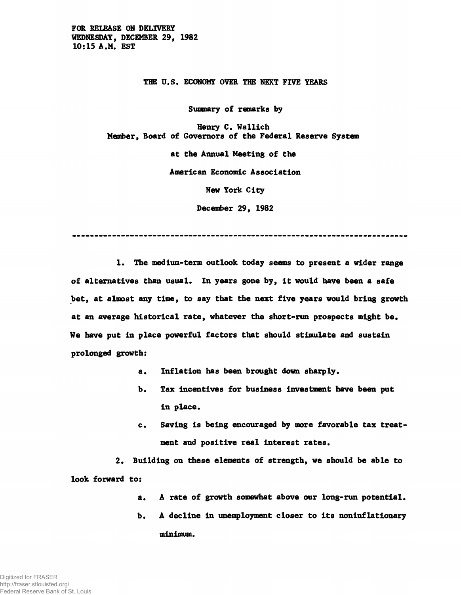**FOR RELEASE ON DELIVERY WEDNESDAY, DECEMBER 29, 1982 10:15 A.M. EST**

**THE U.S. ECONOMY OVER THE NEXT FIVE YEARS**

**Summary of remarks by**

**Henry C. Wallich Member, Board of Governors of the Federal Reserve System**

**at the Annual Meeting of the**

**American Economic Association**

**New York City**

**December 29, 1982**

**1. The medium-term outlook today seems to present a wider range of alternatives than usual. In years gone by, it would have been a safe bet, at almost any time, to say that the next five years would bring growth at an average historical rate, whatever the short-run prospects might be. We have put in place powerful factors that should stimulate and sustain prolonged growth:**

- **a. Inflation has been brought down sharply.**
- **b. Tax incentives for business investment have been put in place.**
- **c. Saving is being encouraged by more favorable tax treatment and positive real interest rates.**

**2. Building on these elements of strength, we should be able to look forward to:**

- **a. A rate of growth somewhat above our long-run potential.**
- **b. A decline in unemployment closer to its noninflationary minimum.**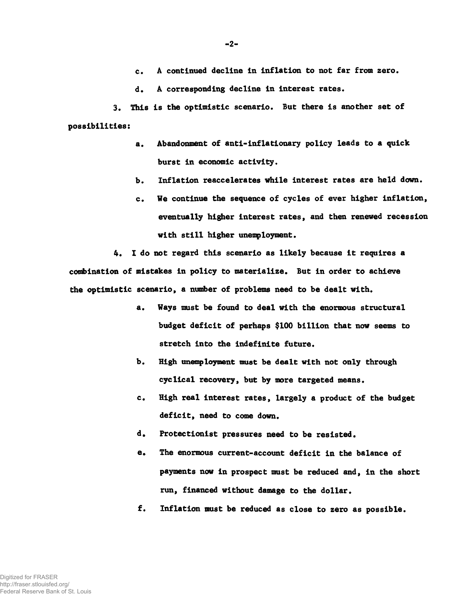**c. A continued decline in inflation to not far from zero.**

**d. A corresponding decline in interest rates.**

**3. This is the optimistic scenario. But there is another set of possibilities:**

- **a. Abandonment of anti-inflationary policy leads to a quick burst in economic activity.**
- **b. Inflation reaccelerates while interest rates are held down.**
- **c. We continue the sequence of cycles of ever higher inflation, eventually higher interest rates, and then renewed recession with still higher unemployment.**

**4. I do not regard this scenario as likely because it requires a** combination of mistakes in policy to materialize. But in order to achieve **the optimistic scenario, a number of problems need to be dealt with.**

- **a. Ways must be found to deal with the enormous structural budget deficit of perhaps \$100 billion that now seems to stretch into the indefinite future.**
- **b. High unemployment must be dealt with not only through cyclical recovery, but by more targeted means.**
- **c. High real interest rates, largely a product of the budget deficit, need to come down.**
- **d. Protectionist pressures need to be resisted.**
- **e. The enormous current-account deficit in the balance of payments now in prospect must be reduced and, in the short run, financed without damage to the dollar.**
- **f. Inflation must be reduced as close to zero as possible.**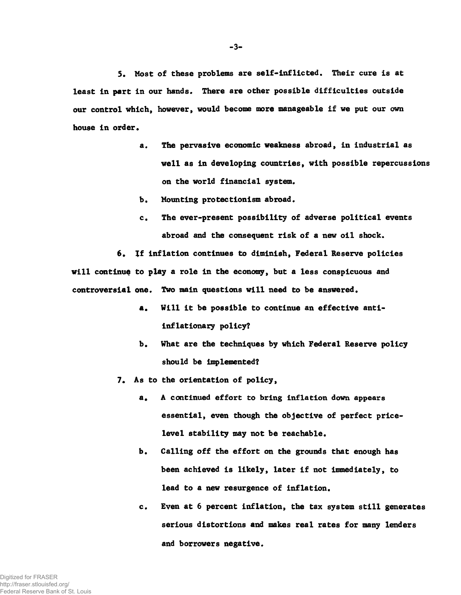**5. Host of these problems are self-inflicted. Their cure is at least in part in our hands. There are other possible difficulties outside our control which, however, would become more manageable if we put our own house in order.**

- **a. The pervasive economic weakness abroad, in industrial as well as in developing countries, with possible repercussions on the world financial system.**
- **b. Mounting protectionism abroad.**
- **c. The ever-present possibility of adverse political events abroad and the consequent risk of a new oil shock.**

**6. If inflation continues to diminish, Federal Reserve policies will continue to play a role in the economy, but a less conspicuous and controversial one. Two main questions will need to be answered.**

- **a. Will it be possible to continue an effective antiinflationary policy?**
- **b. What are the techniques by which Federal Reserve policy should be implemented?**
- **7. As to the orientation of policy,**
	- a. A continued effort to bring inflation down appears **essential, even though the objective of perfect pricelevel stability may not be reachable.**
	- **b. Calling off the effort on the grounds that enough has been achieved is likely, later if not immediately, to lead to a new resurgence of inflation.**
	- **c. Even at 6 percent inflation, the tax system still generates serious distortions and makes real rates for many lenders and borrowers negative.**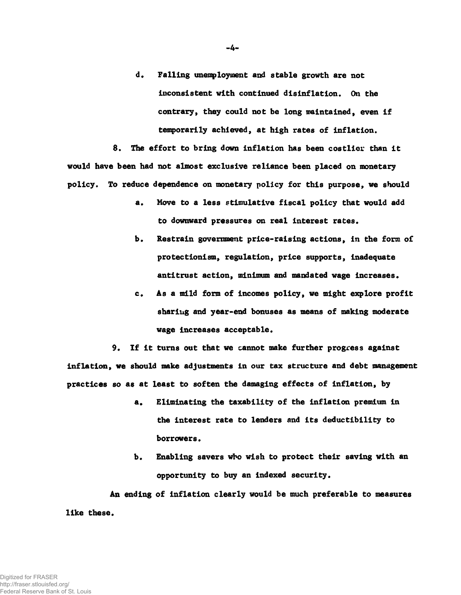**d. Falling unemployment and stable growth are not inconsistent with continued disinflation. On the contrary, they could not be long maintained, even if temporarily achieved, at high rates of inflation.**

**8. The effort to bring down inflation has been costlier than it would have been had not almost exclusive reliance been placed on monetary policy. To reduce dependence on monetary policy for this purpose, we should**

- **a. Move to a less stimulative fiscal policy that would add to downward pressures on real interest rates.**
- **b. Restrain government price-raising actions, in the form of protectionism, regulation, price supports, inadequate antitrust action, minimum and mandated wage increases.**
- **c. As a mild form of incomes policy, we might explore profit sharing and year-end bonuses as means of making moderate wage increases acceptable.**

**9. If it turns out that we cannot make further progress against inflation, we should make adjustments in our tax** structure **and debt management practices so as at least to soften the damaging effects of inflation, by**

- **a. Eliminating the taxability of the inflation premium in the interest rate to lenders and its deductibility to borrowers.**
- **b. Enabling savers who wish to protect their saving with an opportunity to buy an indexed security.**

**An ending of inflation clearly would be much preferable to measures like these.**

-4-